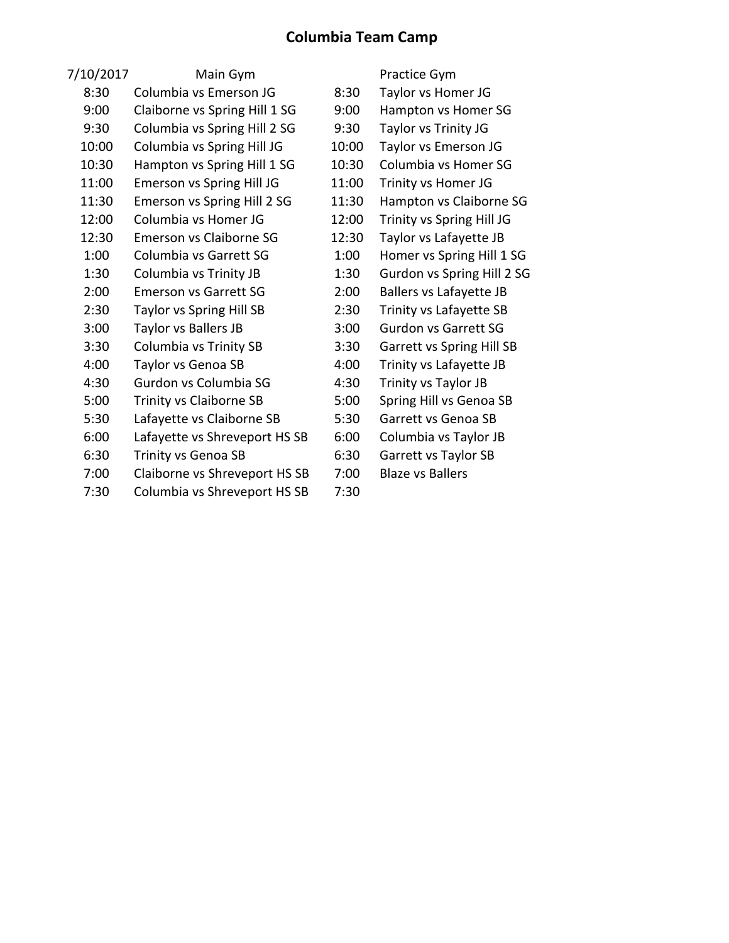## **Columbia Team Camp**

| 7/10/2017 | Main Gym                       |       | Practice Gym                     |
|-----------|--------------------------------|-------|----------------------------------|
| 8:30      | Columbia vs Emerson JG         | 8:30  | Taylor vs Homer JG               |
| 9:00      | Claiborne vs Spring Hill 1 SG  | 9:00  | Hampton vs Homer SG              |
| 9:30      | Columbia vs Spring Hill 2 SG   | 9:30  | Taylor vs Trinity JG             |
| 10:00     | Columbia vs Spring Hill JG     | 10:00 | Taylor vs Emerson JG             |
| 10:30     | Hampton vs Spring Hill 1 SG    | 10:30 | Columbia vs Homer SG             |
| 11:00     | Emerson vs Spring Hill JG      | 11:00 | Trinity vs Homer JG              |
| 11:30     | Emerson vs Spring Hill 2 SG    | 11:30 | Hampton vs Claiborne SG          |
| 12:00     | Columbia vs Homer JG           | 12:00 | Trinity vs Spring Hill JG        |
| 12:30     | Emerson vs Claiborne SG        | 12:30 | Taylor vs Lafayette JB           |
| 1:00      | Columbia vs Garrett SG         | 1:00  | Homer vs Spring Hill 1 SG        |
| 1:30      | Columbia vs Trinity JB         | 1:30  | Gurdon vs Spring Hill 2 SG       |
| 2:00      | <b>Emerson vs Garrett SG</b>   | 2:00  | <b>Ballers vs Lafayette JB</b>   |
| 2:30      | Taylor vs Spring Hill SB       | 2:30  | Trinity vs Lafayette SB          |
| 3:00      | Taylor vs Ballers JB           | 3:00  | <b>Gurdon vs Garrett SG</b>      |
| 3:30      | Columbia vs Trinity SB         | 3:30  | <b>Garrett vs Spring Hill SB</b> |
| 4:00      | Taylor vs Genoa SB             | 4:00  | Trinity vs Lafayette JB          |
| 4:30      | Gurdon vs Columbia SG          | 4:30  | Trinity vs Taylor JB             |
| 5:00      | <b>Trinity vs Claiborne SB</b> | 5:00  | Spring Hill vs Genoa SB          |
| 5:30      | Lafayette vs Claiborne SB      | 5:30  | Garrett vs Genoa SB              |
| 6:00      | Lafayette vs Shreveport HS SB  | 6:00  | Columbia vs Taylor JB            |
| 6:30      | Trinity vs Genoa SB            | 6:30  | Garrett vs Taylor SB             |
| 7:00      | Claiborne vs Shreveport HS SB  | 7:00  | <b>Blaze vs Ballers</b>          |
| 7:30      | Columbia vs Shreveport HS SB   | 7:30  |                                  |
|           |                                |       |                                  |